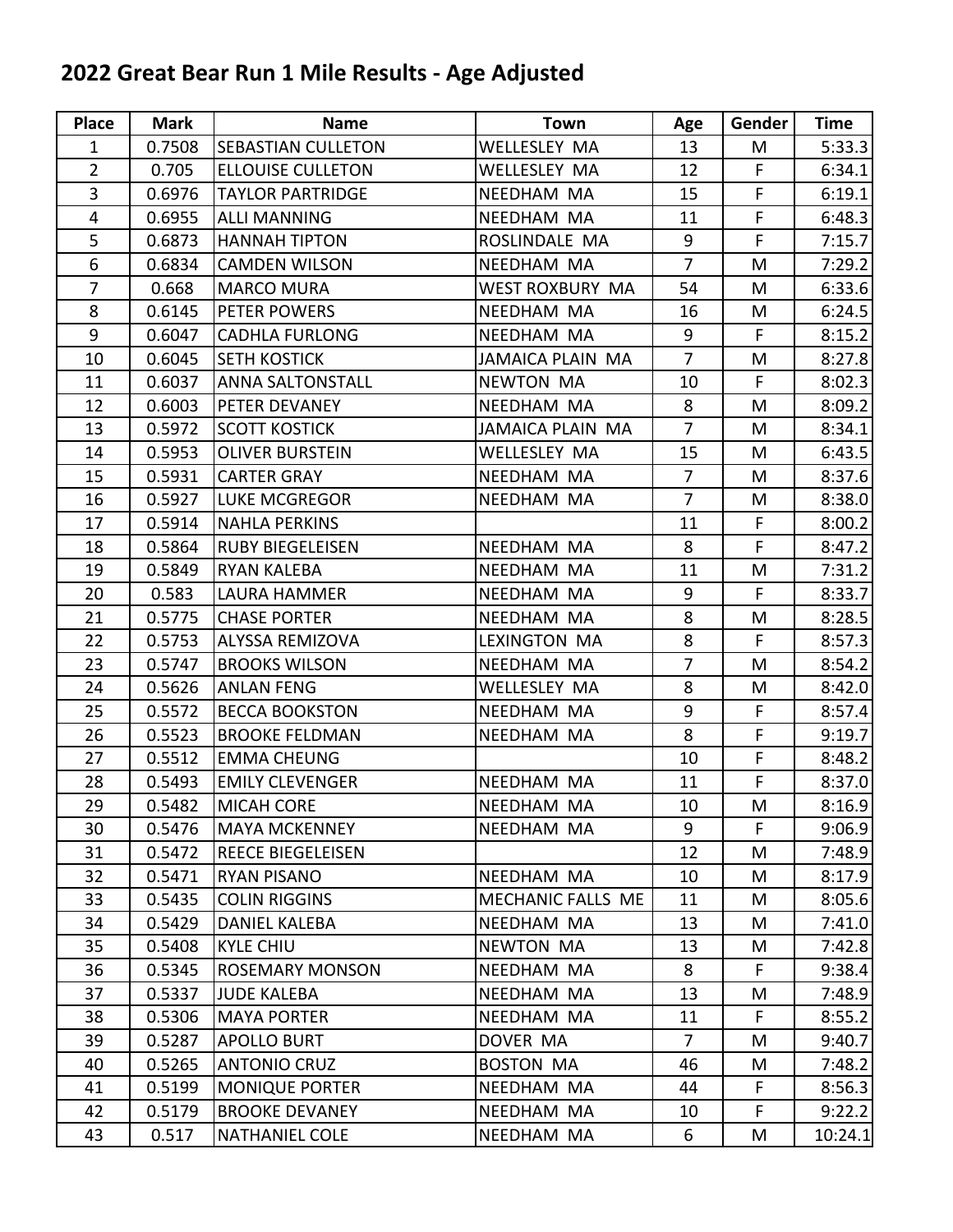## **2022 Great Bear Run 1 Mile Results - Age Adjusted**

| Place          | <b>Mark</b> | <b>Name</b>              | <b>Town</b>             | Age            | Gender | Time    |
|----------------|-------------|--------------------------|-------------------------|----------------|--------|---------|
| $\mathbf{1}$   | 0.7508      | SEBASTIAN CULLETON       | <b>WELLESLEY MA</b>     | 13             | M      | 5:33.3  |
| $\overline{2}$ | 0.705       | <b>ELLOUISE CULLETON</b> | WELLESLEY MA            | 12             | F      | 6:34.1  |
| 3              | 0.6976      | <b>TAYLOR PARTRIDGE</b>  | NEEDHAM MA              | 15             | F      | 6:19.1  |
| $\overline{4}$ | 0.6955      | <b>ALLI MANNING</b>      | NEEDHAM MA              | 11             | F      | 6:48.3  |
| 5              | 0.6873      | <b>HANNAH TIPTON</b>     | ROSLINDALE MA           | 9              | F      | 7:15.7  |
| 6              | 0.6834      | <b>CAMDEN WILSON</b>     | NEEDHAM MA              | $\overline{7}$ | M      | 7:29.2  |
| $\overline{7}$ | 0.668       | <b>MARCO MURA</b>        | WEST ROXBURY MA         | 54             | M      | 6:33.6  |
| 8              | 0.6145      | PETER POWERS             | NEEDHAM MA              | 16             | M      | 6:24.5  |
| 9              | 0.6047      | <b>CADHLA FURLONG</b>    | NEEDHAM MA              | 9              | F      | 8:15.2  |
| 10             | 0.6045      | <b>SETH KOSTICK</b>      | <b>JAMAICA PLAIN MA</b> | $\overline{7}$ | M      | 8:27.8  |
| 11             | 0.6037      | <b>ANNA SALTONSTALL</b>  | <b>NEWTON MA</b>        | 10             | F      | 8:02.3  |
| 12             | 0.6003      | PETER DEVANEY            | NEEDHAM MA              | 8              | M      | 8:09.2  |
| 13             | 0.5972      | <b>SCOTT KOSTICK</b>     | <b>JAMAICA PLAIN MA</b> | $\overline{7}$ | M      | 8:34.1  |
| 14             | 0.5953      | <b>OLIVER BURSTEIN</b>   | <b>WELLESLEY MA</b>     | 15             | M      | 6:43.5  |
| 15             | 0.5931      | <b>CARTER GRAY</b>       | NEEDHAM MA              | $\overline{7}$ | M      | 8:37.6  |
| 16             | 0.5927      | <b>LUKE MCGREGOR</b>     | NEEDHAM MA              | $\overline{7}$ | M      | 8:38.0  |
| 17             | 0.5914      | <b>NAHLA PERKINS</b>     |                         | 11             | F      | 8:00.2  |
| 18             | 0.5864      | <b>RUBY BIEGELEISEN</b>  | NEEDHAM MA              | 8              | F      | 8:47.2  |
| 19             | 0.5849      | <b>RYAN KALEBA</b>       | NEEDHAM MA              | 11             | M      | 7:31.2  |
| 20             | 0.583       | LAURA HAMMER             | NEEDHAM MA              | $9\,$          | F      | 8:33.7  |
| 21             | 0.5775      | <b>CHASE PORTER</b>      | NEEDHAM MA              | 8              | M      | 8:28.5  |
| 22             | 0.5753      | ALYSSA REMIZOVA          | LEXINGTON MA            | 8              | F      | 8:57.3  |
| 23             | 0.5747      | <b>BROOKS WILSON</b>     | NEEDHAM MA              | $\overline{7}$ | M      | 8:54.2  |
| 24             | 0.5626      | <b>ANLAN FENG</b>        | WELLESLEY MA            | 8              | M      | 8:42.0  |
| 25             | 0.5572      | <b>BECCA BOOKSTON</b>    | NEEDHAM MA              | 9              | F      | 8:57.4  |
| 26             | 0.5523      | <b>BROOKE FELDMAN</b>    | NEEDHAM MA              | 8              | F      | 9:19.7  |
| 27             | 0.5512      | <b>EMMA CHEUNG</b>       |                         | 10             | F.     | 8:48.2  |
| 28             | 0.5493      | <b>EMILY CLEVENGER</b>   | NEEDHAM MA              | 11             | F      | 8:37.0  |
| 29             | 0.5482      | <b>MICAH CORE</b>        | NEEDHAM MA              | 10             | M      | 8:16.9  |
| 30             | 0.5476      | <b>MAYA MCKENNEY</b>     | NEEDHAM MA              | 9              | F.     | 9:06.9  |
| 31             | 0.5472      | <b>REECE BIEGELEISEN</b> |                         | 12             | M      | 7:48.9  |
| 32             | 0.5471      | <b>RYAN PISANO</b>       | NEEDHAM MA              | 10             | M      | 8:17.9  |
| 33             | 0.5435      | <b>COLIN RIGGINS</b>     | MECHANIC FALLS ME       | 11             | M      | 8:05.6  |
| 34             | 0.5429      | <b>DANIEL KALEBA</b>     | NEEDHAM MA              | 13             | M      | 7:41.0  |
| 35             | 0.5408      | <b>KYLE CHIU</b>         | <b>NEWTON MA</b>        | 13             | M      | 7:42.8  |
| 36             | 0.5345      | <b>ROSEMARY MONSON</b>   | NEEDHAM MA              | 8              | F.     | 9:38.4  |
| 37             | 0.5337      | <b>JUDE KALEBA</b>       | NEEDHAM MA              | 13             | M      | 7:48.9  |
| 38             | 0.5306      | <b>MAYA PORTER</b>       | NEEDHAM MA              | 11             | F.     | 8:55.2  |
| 39             | 0.5287      | <b>APOLLO BURT</b>       | DOVER MA                | $\overline{7}$ | M      | 9:40.7  |
| 40             | 0.5265      | <b>ANTONIO CRUZ</b>      | <b>BOSTON MA</b>        | 46             | M      | 7:48.2  |
| 41             | 0.5199      | <b>MONIQUE PORTER</b>    | NEEDHAM MA              | 44             | F      | 8:56.3  |
| 42             | 0.5179      | <b>BROOKE DEVANEY</b>    | NEEDHAM MA              | 10             | F      | 9:22.2  |
| 43             | 0.517       | <b>NATHANIEL COLE</b>    | NEEDHAM MA              | 6              | M      | 10:24.1 |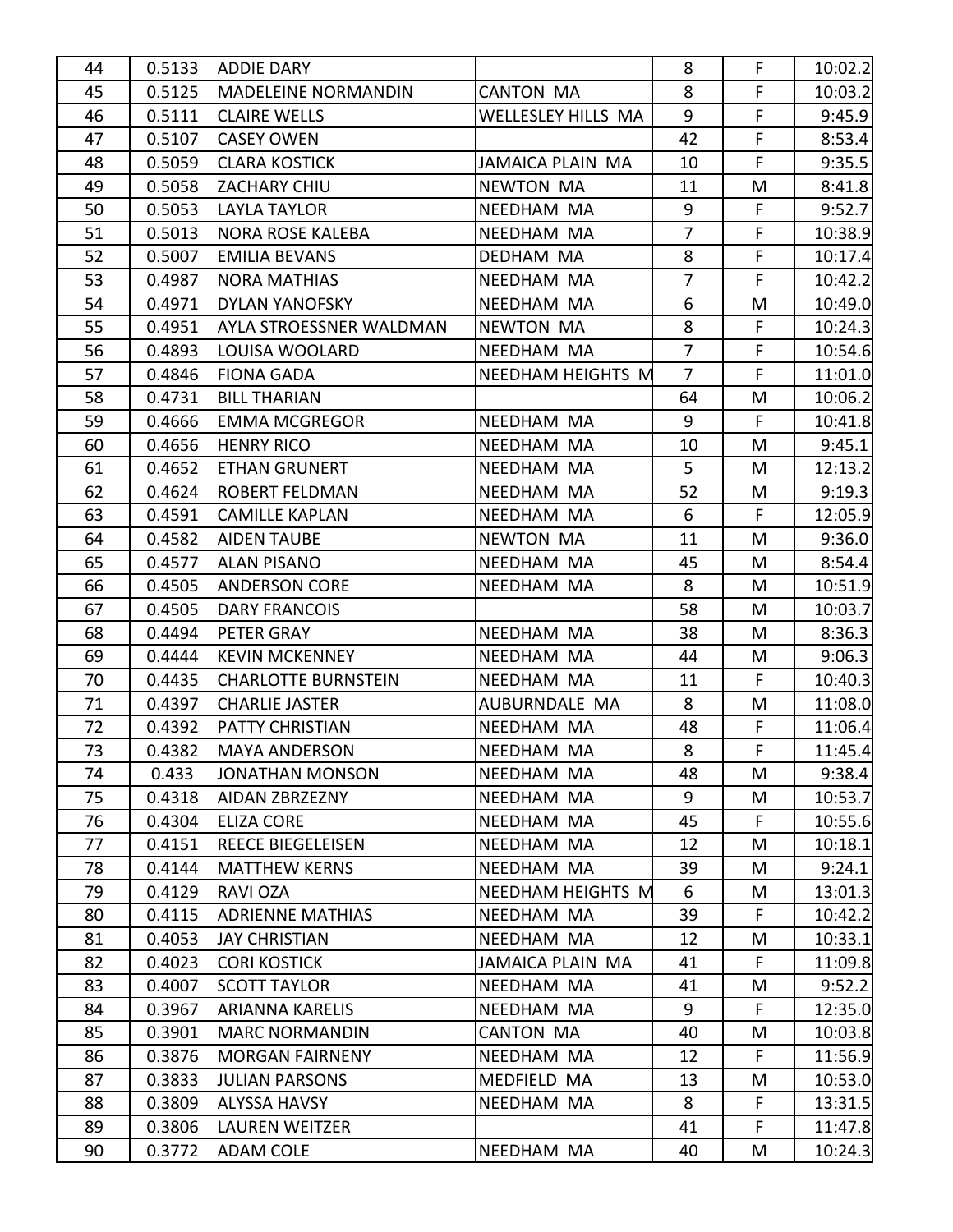| 44       | 0.5133           | <b>ADDIE DARY</b>                                |                                 | 8              | F      | 10:02.2           |
|----------|------------------|--------------------------------------------------|---------------------------------|----------------|--------|-------------------|
| 45       | 0.5125           | MADELEINE NORMANDIN                              | <b>CANTON MA</b>                | 8              | F      | 10:03.2           |
| 46       | 0.5111           | <b>CLAIRE WELLS</b>                              | <b>WELLESLEY HILLS MA</b>       | 9              | F      | 9:45.9            |
| 47       | 0.5107           | <b>CASEY OWEN</b>                                |                                 | 42             | F      | 8:53.4            |
| 48       | 0.5059           | <b>CLARA KOSTICK</b>                             | <b>JAMAICA PLAIN MA</b>         | 10             | F      | 9:35.5            |
| 49       | 0.5058           | ZACHARY CHIU                                     | <b>NEWTON MA</b>                | 11             | M      | 8:41.8            |
| 50       | 0.5053           | <b>LAYLA TAYLOR</b>                              | NEEDHAM MA                      | 9              | F.     | 9:52.7            |
| 51       | 0.5013           | <b>NORA ROSE KALEBA</b>                          | NEEDHAM MA                      | $\overline{7}$ | F      | 10:38.9           |
| 52       | 0.5007           | <b>EMILIA BEVANS</b>                             | DEDHAM MA                       | 8              | F      | 10:17.4           |
| 53       | 0.4987           | <b>NORA MATHIAS</b>                              | NEEDHAM MA                      | $\overline{7}$ | F      | 10:42.2           |
| 54       | 0.4971           | <b>DYLAN YANOFSKY</b>                            | NEEDHAM MA                      | 6              | M      | 10:49.0           |
| 55       | 0.4951           | AYLA STROESSNER WALDMAN                          | <b>NEWTON MA</b>                | 8              | F      | 10:24.3           |
| 56       | 0.4893           | LOUISA WOOLARD                                   | NEEDHAM MA                      | $\overline{7}$ | F      | 10:54.6           |
| 57       | 0.4846           | <b>FIONA GADA</b>                                | <b>NEEDHAM HEIGHTS M</b>        | $\overline{7}$ | F      | 11:01.0           |
| 58       | 0.4731           | <b>BILL THARIAN</b>                              |                                 | 64             | M      | 10:06.2           |
| 59       | 0.4666           | <b>EMMA MCGREGOR</b>                             | NEEDHAM MA                      | 9              | F      | 10:41.8           |
| 60       | 0.4656           | <b>HENRY RICO</b>                                | NEEDHAM MA                      | 10             | M      | 9:45.1            |
| 61       | 0.4652           | <b>ETHAN GRUNERT</b>                             | NEEDHAM MA                      | 5              | M      | 12:13.2           |
| 62       | 0.4624           | <b>ROBERT FELDMAN</b>                            | NEEDHAM MA                      | 52             | M      | 9:19.3            |
| 63       | 0.4591           | <b>CAMILLE KAPLAN</b>                            | NEEDHAM MA                      | 6              | F      | 12:05.9           |
| 64       | 0.4582           | <b>AIDEN TAUBE</b>                               | <b>NEWTON MA</b>                | 11             | M      | 9:36.0            |
| 65       | 0.4577           | <b>ALAN PISANO</b>                               | NEEDHAM MA                      | 45             | M      | 8:54.4            |
| 66       | 0.4505           | <b>ANDERSON CORE</b>                             | NEEDHAM MA                      | 8              | M      | 10:51.9           |
| 67       | 0.4505           | <b>DARY FRANCOIS</b>                             |                                 | 58             | M      | 10:03.7           |
| 68       | 0.4494           | <b>PETER GRAY</b>                                | NEEDHAM MA                      | 38             | M      | 8:36.3            |
| 69       | 0.4444           | <b>KEVIN MCKENNEY</b>                            | NEEDHAM MA                      | 44             | M      | 9:06.3            |
| 70       | 0.4435           | <b>CHARLOTTE BURNSTEIN</b>                       | NEEDHAM MA                      | 11             | F      | 10:40.3           |
| 71       | 0.4397           | <b>CHARLIE JASTER</b>                            | AUBURNDALE MA                   | 8              | M      | 11:08.0           |
| 72       | 0.4392           | <b>PATTY CHRISTIAN</b>                           | NEEDHAM MA                      | 48             | F      | 11:06.4           |
| 73       | 0.4382           | <b>MAYA ANDERSON</b>                             | NEEDHAM MA                      | 8              | F      | 11:45.4           |
| 74       | 0.433            | <b>JONATHAN MONSON</b>                           | NEEDHAM MA                      | 48             | M      | 9:38.4            |
| 75       | 0.4318           | AIDAN ZBRZEZNY                                   | NEEDHAM MA                      | 9              | M      | 10:53.7           |
| 76       | 0.4304           | <b>ELIZA CORE</b>                                | NEEDHAM MA                      | 45             | F.     | 10:55.6           |
| 77       | 0.4151           | <b>REECE BIEGELEISEN</b><br><b>MATTHEW KERNS</b> | NEEDHAM MA                      | 12             | M      | 10:18.1           |
| 78<br>79 | 0.4144<br>0.4129 | <b>RAVI OZA</b>                                  | NEEDHAM MA<br>NEEDHAM HEIGHTS M | 39<br>6        | M<br>M | 9:24.1<br>13:01.3 |
| 80       | 0.4115           | <b>ADRIENNE MATHIAS</b>                          | NEEDHAM MA                      | 39             | F.     | 10:42.2           |
| 81       | 0.4053           | <b>JAY CHRISTIAN</b>                             | NEEDHAM MA                      | 12             | M      | 10:33.1           |
| 82       | 0.4023           | <b>CORI KOSTICK</b>                              | JAMAICA PLAIN MA                | 41             | F      | 11:09.8           |
| 83       | 0.4007           | <b>SCOTT TAYLOR</b>                              | NEEDHAM MA                      | 41             | M      | 9:52.2            |
| 84       | 0.3967           | <b>ARIANNA KARELIS</b>                           | NEEDHAM MA                      | 9              | F.     | 12:35.0           |
| 85       | 0.3901           | <b>MARC NORMANDIN</b>                            | <b>CANTON MA</b>                | 40             | M      | 10:03.8           |
| 86       | 0.3876           | <b>MORGAN FAIRNENY</b>                           | NEEDHAM MA                      | 12             | F.     | 11:56.9           |
| 87       | 0.3833           | <b>JULIAN PARSONS</b>                            | MEDFIELD MA                     | 13             | M      | 10:53.0           |
| 88       | 0.3809           | <b>ALYSSA HAVSY</b>                              | NEEDHAM MA                      | 8              | F      | 13:31.5           |
| 89       | 0.3806           | <b>LAUREN WEITZER</b>                            |                                 | 41             | F.     | 11:47.8           |
| 90       | 0.3772           | ADAM COLE                                        | NEEDHAM MA                      | 40             | M      | 10:24.3           |